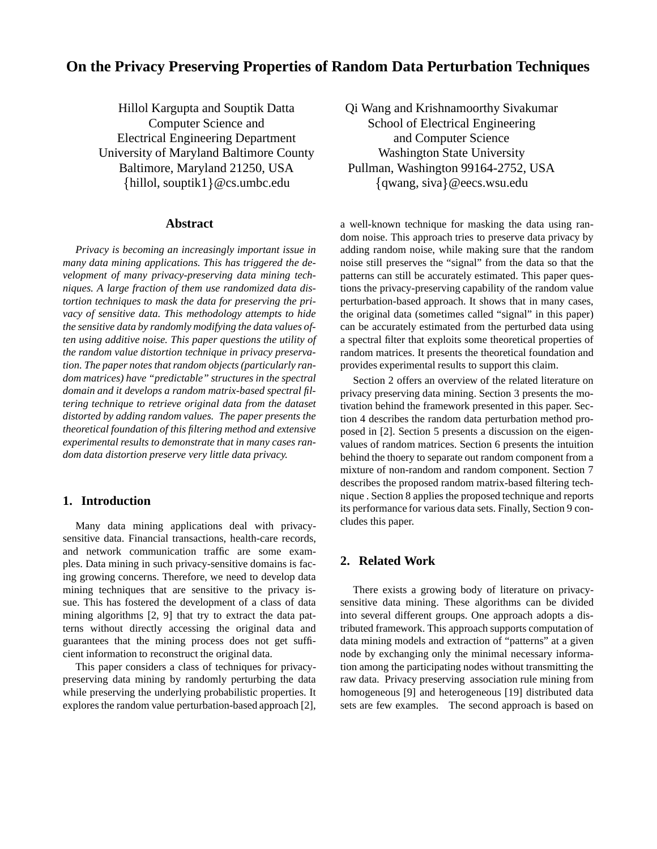# **On the Privacy Preserving Properties of Random Data Perturbation Techniques**

Hillol Kargupta and Souptik Datta Computer Science and Electrical Engineering Department University of Maryland Baltimore County Baltimore, Maryland 21250, USA  $\{h$ illol, souptik1  $\}$ @cs.umbc.edu

### **Abstract**

*Privacy is becoming an increasingly important issue in many data mining applications. This has triggered the development of many privacy-preserving data mining techniques. A large fraction of them use randomized data distortion techniques to mask the data for preserving the privacy of sensitive data. This methodology attempts to hide the sensitive data by randomly modifying the data values often using additive noise. This paper questions the utility of the random value distortion technique in privacy preservation. The paper notes that random objects (particularly random matrices) have "predictable" structures in the spectral domain and it develops a random matrix-based spectral filtering technique to retrieve original data from the dataset distorted by adding random values. The paper presents the theoretical foundation of this filtering method and extensive experimental results to demonstrate that in many cases random data distortion preserve very little data privacy.*

## **1. Introduction**

Many data mining applications deal with privacysensitive data. Financial transactions, health-care records, and network communication traffic are some examples. Data mining in such privacy-sensitive domains is facing growing concerns. Therefore, we need to develop data mining techniques that are sensitive to the privacy issue. This has fostered the development of a class of data mining algorithms [2, 9] that try to extract the data patterns without directly accessing the original data and guarantees that the mining process does not get sufficient information to reconstruct the original data.

This paper considers a class of techniques for privacypreserving data mining by randomly perturbing the data while preserving the underlying probabilistic properties. It explores the random value perturbation-based approach [2], Qi Wang and Krishnamoorthy Sivakumar School of Electrical Engineering and Computer Science Washington State University Pullman, Washington 99164-2752, USA {qwang, siva} @eecs.wsu.edu

a well-known technique for masking the data using random noise. This approach tries to preserve data privacy by adding random noise, while making sure that the random noise still preserves the "signal" from the data so that the patterns can still be accurately estimated. This paper questions the privacy-preserving capability of the random value perturbation-based approach. It shows that in many cases, the original data (sometimes called "signal" in this paper) can be accurately estimated from the perturbed data using a spectral filter that exploits some theoretical properties of random matrices. It presents the theoretical foundation and provides experimental results to support this claim.

Section 2 offers an overview of the related literature on privacy preserving data mining. Section 3 presents the motivation behind the framework presented in this paper. Section 4 describes the random data perturbation method proposed in [2]. Section 5 presents a discussion on the eigenvalues of random matrices. Section 6 presents the intuition behind the thoery to separate out random component from a mixture of non-random and random component. Section 7 describes the proposed random matrix-based filtering technique . Section 8 applies the proposed technique and reports its performance for various data sets. Finally, Section 9 concludes this paper.

### **2. Related Work**

There exists a growing body of literature on privacysensitive data mining. These algorithms can be divided into several different groups. One approach adopts a distributed framework. This approach supports computation of data mining models and extraction of "patterns" at a given node by exchanging only the minimal necessary information among the participating nodes without transmitting the raw data. Privacy preserving association rule mining from homogeneous [9] and heterogeneous [19] distributed data sets are few examples. The second approach is based on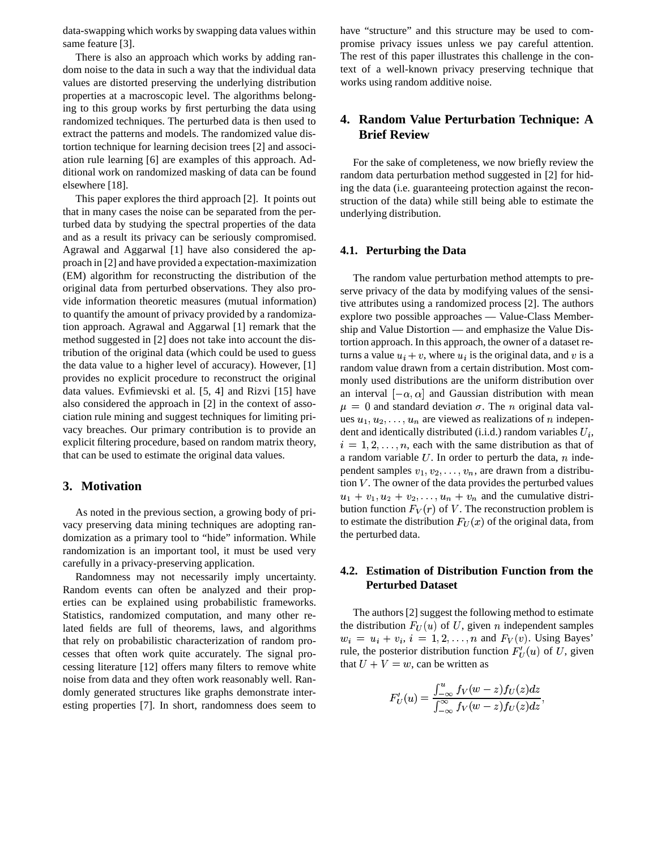data-swapping which works by swapping data values within same feature [3].

There is also an approach which works by adding random noise to the data in such a way that the individual data values are distorted preserving the underlying distribution properties at a macroscopic level. The algorithms belonging to this group works by first perturbing the data using randomized techniques. The perturbed data is then used to extract the patterns and models. The randomized value distortion technique for learning decision trees [2] and association rule learning [6] are examples of this approach. Additional work on randomized masking of data can be found elsewhere [18].

This paper explores the third approach [2]. It points out that in many cases the noise can be separated from the perturbed data by studying the spectral properties of the data and as a result its privacy can be seriously compromised. Agrawal and Aggarwal [1] have also considered the approach in [2] and have provided a expectation-maximization (EM) algorithm for reconstructing the distribution of the original data from perturbed observations. They also provide information theoretic measures (mutual information) to quantify the amount of privacy provided by a randomization approach. Agrawal and Aggarwal [1] remark that the method suggested in [2] does not take into account the distribution of the original data (which could be used to guess the data value to a higher level of accuracy). However, [1] provides no explicit procedure to reconstruct the original data values. Evfimievski et al. [5, 4] and Rizvi [15] have also considered the approach in [2] in the context of association rule mining and suggest techniques for limiting privacy breaches. Our primary contribution is to provide an explicit filtering procedure, based on random matrix theory, that can be used to estimate the original data values.

### **3. Motivation**

As noted in the previous section, a growing body of privacy preserving data mining techniques are adopting randomization as a primary tool to "hide" information. While randomization is an important tool, it must be used very carefully in a privacy-preserving application.

Randomness may not necessarily imply uncertainty. Random events can often be analyzed and their properties can be explained using probabilistic frameworks. Statistics, randomized computation, and many other related fields are full of theorems, laws, and algorithms that rely on probabilistic characterization of random processes that often work quite accurately. The signal processing literature [12] offers many filters to remove white noise from data and they often work reasonably well. Randomly generated structures like graphs demonstrate interesting properties [7]. In short, randomness does seem to have "structure" and this structure may be used to compromise privacy issues unless we pay careful attention. The rest of this paper illustrates this challenge in the context of a well-known privacy preserving technique that works using random additive noise.

# **4. Random Value Perturbation Technique: A Brief Review**

For the sake of completeness, we now briefly review the random data perturbation method suggested in [2] for hiding the data (i.e. guaranteeing protection against the reconstruction of the data) while still being able to estimate the underlying distribution.

#### **4.1. Perturbing the Data**

The random value perturbation method attempts to preserve privacy of the data by modifying values of the sensitive attributes using a randomized process [2]. The authors explore two possible approaches — Value-Class Membership and Value Distortion — and emphasize the Value Distortion approach. In this approach, the owner of a dataset returns a value  $u_i + v$ , where  $u_i$  is the original data, and v is a random value drawn from a certain distribution. Most commonly used distributions are the uniform distribution over an interval  $[-\alpha, \alpha]$  and Gaussian distribution with mean  $\mu = 0$  and standard deviation  $\sigma$ . The *n* original data values  $u_1, u_2, \ldots, u_n$  are viewed as realizations of *n* independent and identically distributed (i.i.d.) random variables  $U_i$ ,  $i = 1, 2, \ldots, n$ , each with the same distribution as that of a random variable  $U$ . In order to perturb the data,  $n$  independent samples  $v_1, v_2, \ldots, v_n$ , are drawn from a distribution  $V$ . The owner of the data provides the perturbed values  $u_1 + v_1, u_2 + v_2, \ldots, u_n + v_n$  and the cumulative distribution function  $F_V(r)$  of V. The reconstruction problem is to estimate the distribution  $F_U(x)$  of the original data, from the perturbed data.

# **4.2. Estimation of Distribution Function from the Perturbed Dataset**

The authors[2] suggest the following method to estimate the distribution  $F_U(u)$  of U, given n independent samples  $w_i = u_i + v_i$ ,  $i = 1, 2, \ldots, n$  and  $F_V(v)$ . Using Bayes' rule, the posterior distribution function  $F'_{U}(u)$  of U, given that  $U + V = w$ , can be written as

$$
F'_U(u)=\frac{\int_{-\infty}^u f_V(w-z)f_U(z)dz}{\int_{-\infty}^{\infty} f_V(w-z)f_U(z)dz},
$$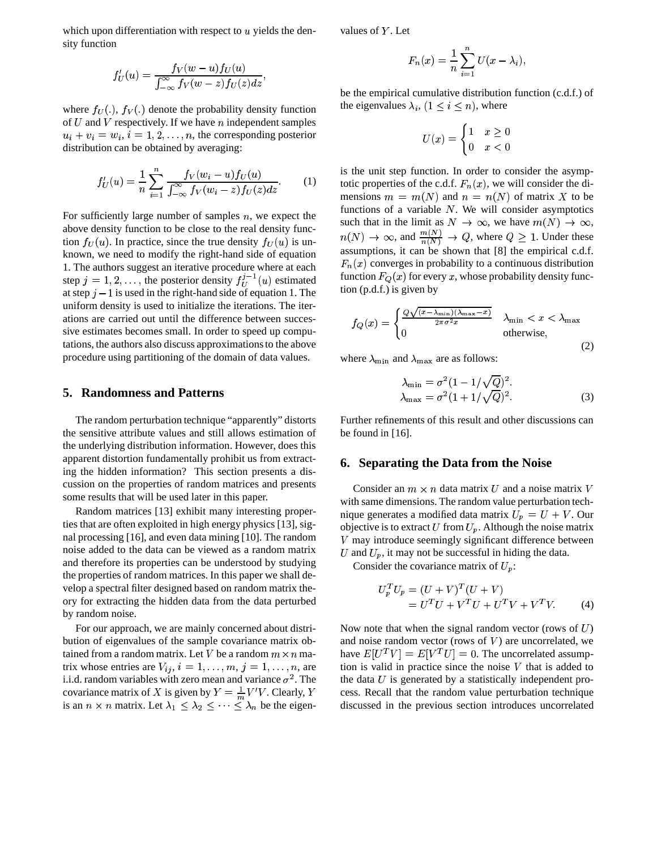which upon differentiation with respect to  $u$  yields the density function

$$
f'_U(u)=\frac{f_V(w-u)f_U(u)}{\int_{-\infty}^\infty f_V(w-z)f_U(z)dz},
$$

where  $f_U(.)$ ,  $f_V(.)$  denote the probability density function of  $U$  and  $V$  respectively. If we have  $n$  independent samples  $u_i + v_i = w_i, i = 1, 2, \dots, n$ , the corresponding posterior distribution can be obtained by averaging:

$$
f'_U(u) = \frac{1}{n} \sum_{i=1}^n \frac{f_V(w_i - u) f_U(u)}{\int_{-\infty}^{\infty} f_V(w_i - z) f_U(z) dz}.
$$
 (1)

For sufficiently large number of samples  $n$ , we expect the above density function to be close to the real density function  $f_U(u)$ . In practice, since the true density  $f_U(u)$  is unknown, we need to modify the right-hand side of equation 1. The authors suggest an iterative procedure where at each step  $j = 1, 2, \ldots$ , the posterior density  $f_{II}^{j-1}(u)$  estimated at step  $j-1$  is used in the right-hand side of equation 1. The uniform density is used to initialize the iterations. The iterations are carried out until the difference between successive estimates becomes small. In order to speed up computations, the authors also discuss approximationsto the above procedure using partitioning of the domain of data values.

#### **5. Randomness and Patterns**

The random perturbation technique "apparently" distorts the sensitive attribute values and still allows estimation of the underlying distribution information. However, does this apparent distortion fundamentally prohibit us from extracting the hidden information? This section presents a discussion on the properties of random matrices and presents some results that will be used later in this paper.

Random matrices [13] exhibit many interesting properties that are often exploited in high energy physics [13], signal processing [16], and even data mining [10]. The random noise added to the data can be viewed as a random matrix and therefore its properties can be understood by studying the properties of random matrices. In this paper we shall develop a spectral filter designed based on random matrix theory for extracting the hidden data from the data perturbed by random noise.

For our approach, we are mainly concerned about distribution of eigenvalues of the sample covariance matrix obtained from a random matrix. Let V be a random  $m \times n$  matrix whose entries are  $V_{ij}$ ,  $i = 1, \ldots, m, j = 1, \ldots, n$ , are i.i.d. random variables with zero mean and variance  $\sigma^2$ . The covariance matrix of X is given by  $Y = \frac{1}{m}V'V$ . Clearly, Y is an  $n \times n$  matrix. Let  $\lambda_1 \leq \lambda_2 \leq \cdots \leq \lambda_n$  be the eigen-

values of  $Y$ . Let

$$
F_n(x) = \frac{1}{n} \sum_{i=1}^n U(x - \lambda_i),
$$

be the empirical cumulative distribution function (c.d.f.) of the eigenvalues  $\lambda_i$ ,  $(1 \leq i \leq n)$ , where

$$
U(x) = \begin{cases} 1 & x \ge 0 \\ 0 & x < 0 \end{cases}
$$

is the unit step function. In order to consider the asymptotic properties of the c.d.f.  $F_n(x)$ , we will consider the dimensions  $m = m(N)$  and  $n = n(N)$  of matrix X to be functions of a variable  $N$ . We will consider asymptotics such that in the limit as  $N \to \infty$ , we have  $m(N) \to \infty$ ,  $n(N) \to \infty$ , and  $\frac{m(N)}{n(N)} \to Q$ , where  $Q \geq 1$ . Under these assumptions, it can be shown that [8] the empirical c.d.f.  $F_n(x)$  converges in probability to a continuous distribution function  $F_Q(x)$  for every x, whose probability density function (p.d.f.) is given by

$$
f_Q(x) = \begin{cases} \frac{Q\sqrt{(x-\lambda_{\min})(\lambda_{\max}-x)}}{2\pi\sigma^2 x} & \lambda_{\min} < x < \lambda_{\max} \\ 0 & \text{otherwise,} \end{cases}
$$
 (2)

where  $\lambda_{\min}$  and  $\lambda_{\max}$  are as follows:

$$
\lambda_{\min} = \sigma^2 (1 - 1/\sqrt{Q})^2.
$$
  
\n
$$
\lambda_{\max} = \sigma^2 (1 + 1/\sqrt{Q})^2.
$$
 (3)

Further refinements of this result and other discussions can be found in [16].

#### **6. Separating the Data from the Noise**

Consider an  $m \times n$  data matrix U and a noise matrix V with same dimensions. The random value perturbation technique generates a modified data matrix  $U_p = U + V$ . Our objective is to extract U from  $U_p$ . Although the noise matrix  $V$  may introduce seemingly significant difference between U and  $U_p$ , it may not be successful in hiding the data.

Consider the covariance matrix of  $U_p$ :

$$
U_p^T U_p = (U + V)^T (U + V)
$$
  
= 
$$
U^T U + V^T U + U^T V + V^T V.
$$
 (4)

Now note that when the signal random vector (rows of  $U$ ) and noise random vector (rows of  $V$ ) are uncorrelated, we have  $E[U^T V] = E[V^T U] = 0$ . The uncorrelated assumption is valid in practice since the noise  $V$  that is added to the data  $U$  is generated by a statistically independent process. Recall that the random value perturbation technique discussed in the previous section introduces uncorrelated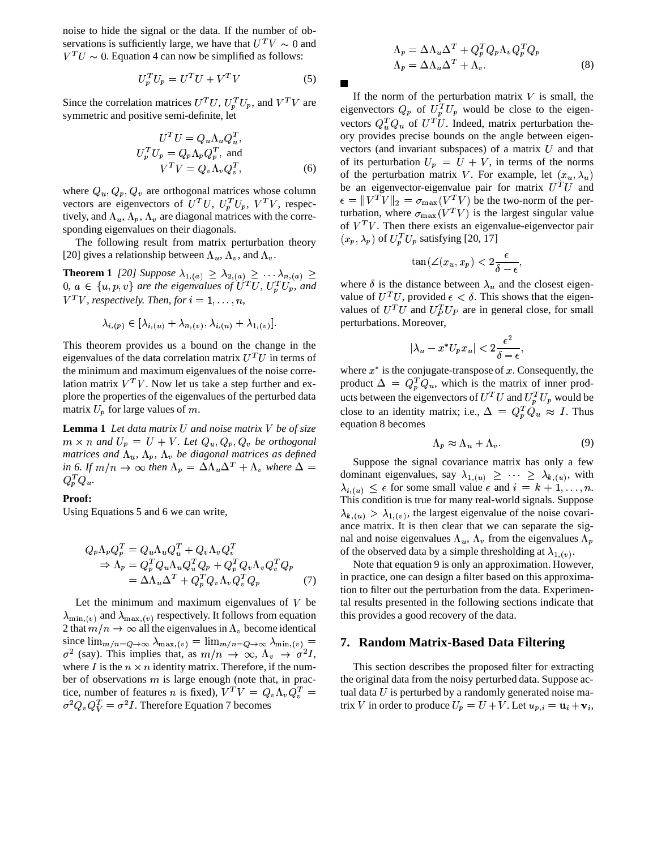noise to hide the signal or the data. If the number of observations is sufficiently large, we have that  $U^T V \sim 0$  and  $V^T U \sim 0$ . Equation 4 can now be simplified as follows:

$$
U_p^T U_p = U^T U + V^T V \tag{5}
$$

Since the correlation matrices  $U^T U$ ,  $U_n^T U_p$ , and  $V^T V$  are symmetric and positive semi-definite, let

$$
U^T U = Q_u \Lambda_u Q_u^T,
$$
  
\n
$$
U_p^T U_p = Q_p \Lambda_p Q_p^T
$$
, and  
\n
$$
V^T V = Q_v \Lambda_v Q_v^T,
$$
\n(6)

where  $Q_u, Q_v, Q_v$  are orthogonal matrices whose column vectors are eigenvectors of  $U^T U$ ,  $U_n^T U_p$ ,  $V^T V$ , respectively, and  $\Lambda_u$ ,  $\Lambda_p$ ,  $\Lambda_v$  are diagonal matrices with the corresponding eigenvalues on their diagonals.

The following result from matrix perturbation theory [20] gives a relationship between  $\Lambda_u$ ,  $\Lambda_v$ , and  $\Lambda_v$ .

**Theorem 1** [20] Suppose  $\lambda_{1,(a)} \geq \lambda_{2,(a)} \geq \ldots \lambda_{n,(a)} \geq$  $[0, a \in \{u, p, v\}$  are the eigenvalues of  $U^T U$ ,  $U_n^T U_p$ , and  $V^TV$ , respectively. Then, for  $i = 1, \ldots, n$ ,

$$
\lambda_{i,(p)}\in[\lambda_{i,(u)}+\lambda_{n,(v)},\lambda_{i,(u)}+\lambda_{1,(v)}].
$$

This theorem provides us a bound on the change in the eigenvalues of the data correlation matrix  $U<sup>T</sup>U$  in terms of the minimum and maximum eigenvalues of the noise correlation matrix  $V^T V$ . Now let us take a step further and explore the properties of the eigenvalues of the perturbed data matrix  $U_p$  for large values of  $m$ .

**Lemma** 1 Let data matrix U and noise matrix V be of size  $m \times n$  and  $U_p = U + V$ . Let  $Q_u, Q_p, Q_v$  be orthogonal matrices and  $\Lambda_u$ ,  $\Lambda_p$ ,  $\Lambda_v$  be diagonal matrices as defined in 6. If  $m/n \to \infty$  then  $\Lambda_p = \Delta \Lambda_u \Delta^T + \Lambda_v$  where  $\Delta =$  supplemental dominant  $Q_n^T Q_u$ .

#### <sup>H</sup> **Proof:**

Using Equations 5 and 6 we can write,

$$
Q_p \Lambda_p Q_p^T = Q_u \Lambda_u Q_u^T + Q_v \Lambda_v Q_v^T
$$
  
\n
$$
\Rightarrow \Lambda_p = Q_p^T Q_u \Lambda_u Q_u^T Q_p + Q_p^T Q_v \Lambda_v Q_v^T Q_p
$$
  
\n
$$
= \Delta \Lambda_u \Delta^T + Q_p^T Q_v \Lambda_v Q_v^T Q_p
$$
 (7)

Let the minimum and maximum eigenvalues of  $V$  be  $\lambda_{\min,(v)}$  and  $\lambda_{\max,(v)}$  respectively. It follows from equation 2 that  $m/n \to \infty$  all the eigenvalues in  $\Lambda_v$  become identical since  $\lim_{m/n=Q\to\infty}\lambda_{\max,(v)}=\lim_{m/n=Q\to\infty}\lambda_{\min,(v)}=$  7. Ran  $\sigma^2$  (say). This implies that, as  $m/n \to \infty$ ,  $\Lambda_v \to \sigma^2 I$ , where  $I$  is the  $n \times n$  identity matrix. Therefore, if the number of observations  $m$  is large enough (note that, in practice, number of features *n* is fixed),  $V^T V = Q_v \Lambda_v Q_v^T$  $\sigma^2 Q_v Q_v^T = \sigma^2 I$ . Therefore Equation 7 becomes

$$
\Lambda_p = \Delta \Lambda_u \Delta^T + Q_p^T Q_p \Lambda_v Q_p^T Q_p
$$
  
\n
$$
\Lambda_p = \Delta \Lambda_u \Delta^T + \Lambda_v.
$$
\n(8)

If the norm of the perturbation matrix  $V$  is small, the eigenvectors  $Q_p$  of  $U_p^T U_p$  would be close to the eigenvectors  $Q_u^T Q_u$  of  $U^T U$ . Indeed, matrix perturbation the- $\mathcal{H}_u \mathcal{H}_u$  and the interest, minimal permeasurements are vectors (and invariant subspaces) of a matrix  $U$  and that of its perturbation  $U_p = U + V$ , in terms of the norms of the perturbation matrix V. For example, let  $(x_u, \lambda_u)$ be an eigenvector-eigenvalue pair for matrix  $U^T U$  and  $\epsilon = ||V^T V||_2 = \sigma_{\text{max}} (V^T V)$  be the two-norm of the perturbation, where  $\sigma_{\text{max}}(V^T V)$  is the largest singular value of  $V^T V$ . Then there exists an eigenvalue-eigenvector pair  $(x_p, \lambda_p)$  of  $U_p^T U_p$  satisfying [20, 17]

**The Community of the Community** 

$$
\tan(\angle(x_u, x_p) < 2\frac{\epsilon}{\delta - \epsilon},
$$

where  $\delta$  is the distance between  $\lambda_u$  and the closest eigenvalue of  $U^T U$ , provided  $\epsilon < \delta$ . This shows that the eigenvalues of  $U^T U$  and  $U^T_P U_P$  are in general close, for small perturbations. Moreover,

$$
|\lambda_u-x^*U_px_u|<2\frac{\epsilon^2}{\delta-\epsilon},
$$

where  $x^*$  is the conjugate-transpose of  $x$ . Consequently, the product  $\Delta = Q_n^T Q_u$ , which is the matrix of inner products between the eigenvectors of  $U^T U$  and  $U^T_n U_p$  would be close to an identity matrix; i.e.,  $\Delta = Q_p^T Q_u \approx I$ . Thus equation 8 becomes equation 8 becomes

$$
\Lambda_p \approx \Lambda_u + \Lambda_v. \tag{9}
$$

Suppose the signal covariance matrix has only a few dominant eigenvalues, say  $\lambda_{1,(u)} \geq \cdots \geq \lambda_{k,(u)}$ , with  $\lambda_{i,(u)} \leq \epsilon$  for some small value  $\epsilon$  and  $i = k+1, \ldots, n$ . This condition is true for many real-world signals. Suppose  $\lambda_{k}(u) > \lambda_{1}(v)$ , the largest eigenvalue of the noise covariance matrix. It is then clear that we can separate the signal and noise eigenvalues  $\Lambda_u$ ,  $\Lambda_v$  from the eigenvalues  $\Lambda_p$ of the observed data by a simple thresholding at  $\lambda_{1,(v)}$ .  $\blacksquare$ 

Note that equation 9 is only an approximation. However, in practice, one can design a filter based on this approximation to filter out the perturbation from the data. Experimental results presented in the following sections indicate that this provides a good recovery of the data.

### **7. Random Matrix-Based Data Filtering**

 ${}_{v}Q_{v}^{T}$  = tual data U is perturbed by a randomly generated noise ma-This section describes the proposed filter for extracting the original data from the noisy perturbed data. Suppose actrix V in order to produce  $U_p = U + V$ . Let  $u_{p,i} = \mathbf{u}_i + \mathbf{v}_i$ ,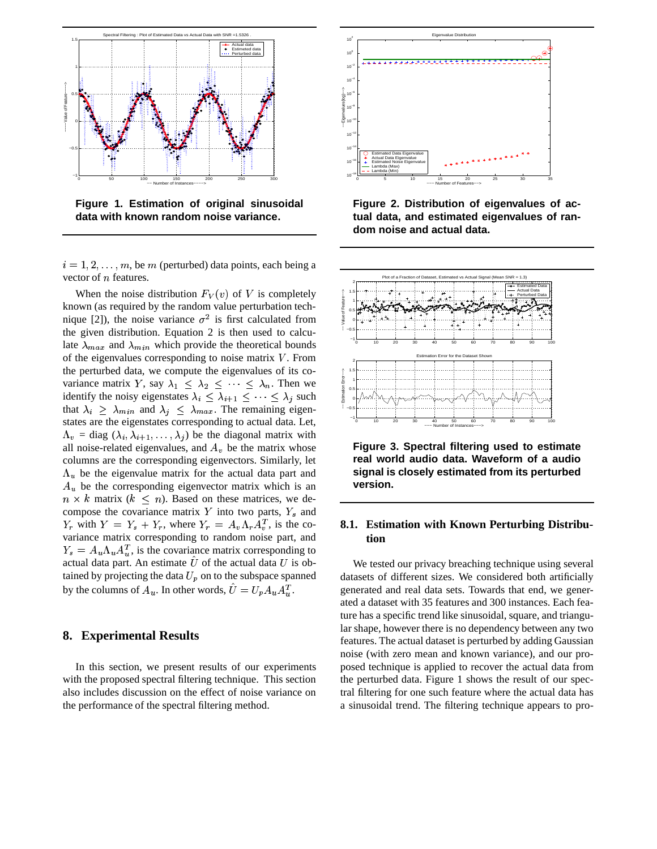

**Figure 1. Estimation of original sinusoidal data with known random noise variance.**

 $i = 1, 2, \ldots, m$ , be m (perturbed) data points, each being a vector of  $n$  features.

When the noise distribution  $F_V(v)$  of V is completely known (as required by the random value perturbation technique [2]), the noise variance  $\sigma^2$  is first calculated from the given distribution. Equation 2 is then used to calculate  $\lambda_{max}$  and  $\lambda_{min}$  which provide the theoretical bounds of the eigenvalues corresponding to noise matrix  $V$ . From the perturbed data, we compute the eigenvalues of its covariance matrix Y, say  $\lambda_1 \leq \lambda_2 \leq \cdots \leq \lambda_n$ . Then we identify the noisy eigenstates  $\lambda_i \leq \lambda_{i+1} \leq \cdots \leq \lambda_j$  such that  $\lambda_i \geq \lambda_{min}$  and  $\lambda_j \leq \lambda_{max}$ . The remaining eigenstates are the eigenstates corresponding to actual data. Let,  $\Lambda_v = \text{diag}(\lambda_i, \lambda_{i+1}, \dots, \lambda_j)$  be the diagonal matrix with all noise-related eigenvalues, and  $A_v$  be the matrix whose columns are the corresponding eigenvectors. Similarly, let  $\Lambda_u$  be the eigenvalue matrix for the actual data part and  $A_u$  be the corresponding eigenvector matrix which is an  $n \times k$  matrix  $(k \leq n)$ . Based on these matrices, we decompose the covariance matrix  $Y$  into two parts,  $Y_s$  and  $Y_r$  with  $Y = Y_s + Y_r$ , where  $Y_r = A_v \Lambda_r A_v^T$ , is the covariance matrix corresponding to random noise part, and  $Y_s = A_u \Lambda_u A_u^T$ , is the covariance matrix corresponding to actual data nart. An estimate  $\hat{U}$  of the actual data  $U$  is obactual data part. An estimate  $\hat{U}$  of the actual data U is obtained by projecting the data  $U_p$  on to the subspace spanned by the columns of  $A_u$ . In other words,  $\hat{U} = U_p A_u A_u^T$ .

### **8. Experimental Results**

In this section, we present results of our experiments with the proposed spectral filtering technique. This section also includes discussion on the effect of noise variance on the performance of the spectral filtering method.



**Figure 2. Distribution of eigenvalues of actual data, and estimated eigenvalues of random noise and actual data.**



**Figure 3. Spectral filtering used to estimate real world audio data. Waveform of a audio signal is closely estimated from its perturbed version.**

# **8.1. Estimation with Known Perturbing Distribution**

 generated and real data sets. Towards that end, we gener-We tested our privacy breaching technique using several datasets of different sizes. We considered both artificially ated a dataset with 35 features and 300 instances. Each feature has a specific trend like sinusoidal, square, and triangular shape, however there is no dependency between any two features. The actual dataset is perturbed by adding Gaussian noise (with zero mean and known variance), and our proposed technique is applied to recover the actual data from the perturbed data. Figure 1 shows the result of our spectral filtering for one such feature where the actual data has a sinusoidal trend. The filtering technique appears to pro-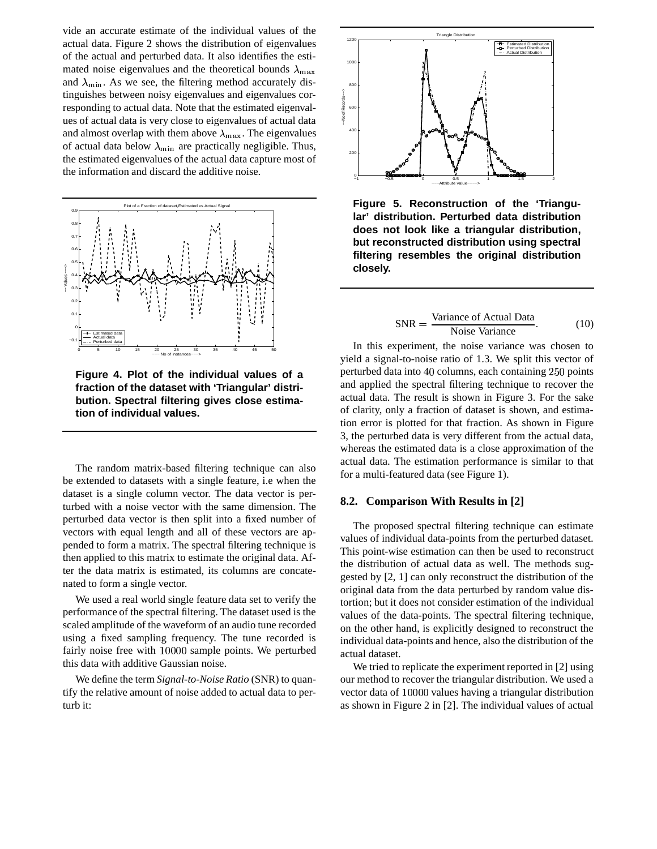vide an accurate estimate of the individual values of the actual data. Figure 2 shows the distribution of eigenvalues of the actual and perturbed data. It also identifies the estimated noise eigenvalues and the theoretical bounds  $\lambda_{\text{max}}$ and  $\lambda_{\min}$ . As we see, the filtering method accurately distinguishes between noisy eigenvalues and eigenvalues corresponding to actual data. Note that the estimated eigenvalues of actual data is very close to eigenvalues of actual data and almost overlap with them above  $\lambda_{\text{max}}$ . The eigenvalues of actual data below  $\lambda_{\min}$  are practically negligible. Thus, the estimated eigenvalues of the actual data capture most of the information and discard the additive noise.



**Figure 4. Plot of the individual values of a fraction of the dataset with 'Triangular' distribution. Spectral filtering gives close estimation of individual values.**

The random matrix-based filtering technique can also be extended to datasets with a single feature, i.e when the dataset is a single column vector. The data vector is perturbed with a noise vector with the same dimension. The perturbed data vector is then split into a fixed number of vectors with equal length and all of these vectors are appended to form a matrix. The spectral filtering technique is then applied to this matrix to estimate the original data. After the data matrix is estimated, its columns are concatenated to form a single vector.

We used a real world single feature data set to verify the performance of the spectral filtering. The dataset used is the scaled amplitude of the waveform of an audio tune recorded using a fixed sampling frequency. The tune recorded is fairly noise free with 10000 sample points. We perturbed this data with additive Gaussian noise.

We define the term *Signal-to-Noise Ratio* (SNR) to quantify the relative amount of noise added to actual data to perturb it:



**Figure 5. Reconstruction of the 'Triangular' distribution. Perturbed data distribution does not look like a triangular distribution, but reconstructed distribution using spectral filtering resembles the original distribution closely.**

$$
SNR = \frac{\text{Variance of Actual Data}}{\text{Noise Variance}}.\tag{10}
$$

In this experiment, the noise variance was chosen to yield a signal-to-noise ratio of 1.3. We split this vector of perturbed data into 40 columns, each containing 250 points and applied the spectral filtering technique to recover the actual data. The result is shown in Figure 3. For the sake of clarity, only a fraction of dataset is shown, and estimation error is plotted for that fraction. As shown in Figure 3, the perturbed data is very different from the actual data, whereas the estimated data is a close approximation of the actual data. The estimation performance is similar to that for a multi-featured data (see Figure 1).

#### **8.2. Comparison With Results in [2]**

The proposed spectral filtering technique can estimate values of individual data-points from the perturbed dataset. This point-wise estimation can then be used to reconstruct the distribution of actual data as well. The methods suggested by [2, 1] can only reconstruct the distribution of the original data from the data perturbed by random value distortion; but it does not consider estimation of the individual values of the data-points. The spectral filtering technique, on the other hand, is explicitly designed to reconstruct the individual data-points and hence, also the distribution of the actual dataset.

We tried to replicate the experiment reported in [2] using our method to recover the triangular distribution. We used a vector data of 10000 values having a triangular distribution as shown in Figure 2 in [2]. The individual values of actual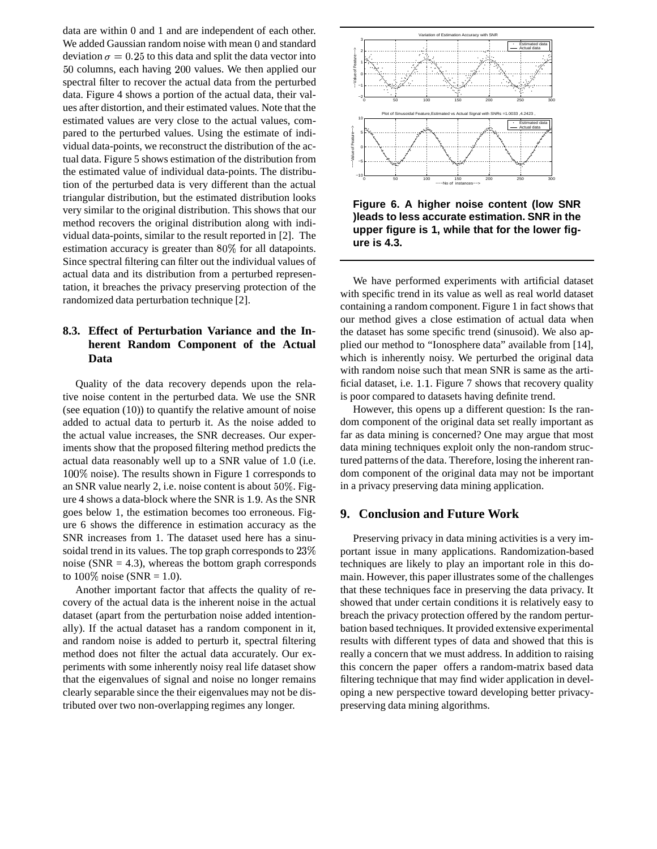data are within 0 and 1 and are independent of each other. We added Gaussian random noise with mean 0 and standard deviation  $\sigma = 0.25$  to this data and split the data vector into 50 columns, each having 200 values. We then applied our spectral filter to recover the actual data from the perturbed data. Figure 4 shows a portion of the actual data, their values after distortion, and their estimated values. Note that the estimated values are very close to the actual values, compared to the perturbed values. Using the estimate of individual data-points, we reconstruct the distribution of the actual data. Figure 5 shows estimation of the distribution from the estimated value of individual data-points. The distribution of the perturbed data is very different than the actual triangular distribution, but the estimated distribution looks very similar to the original distribution. This shows that our method recovers the original distribution along with individual data-points, similar to the result reported in [2]. The estimation accuracy is greater than  $80\%$  for all datapoints. Since spectral filtering can filter out the individual values of actual data and its distribution from a perturbed representation, it breaches the privacy preserving protection of the randomized data perturbation technique [2].

# **8.3. Effect of Perturbation Variance and the Inherent Random Component of the Actual Data**

Quality of the data recovery depends upon the relative noise content in the perturbed data. We use the SNR (see equation (10)) to quantify the relative amount of noise added to actual data to perturb it. As the noise added to the actual value increases, the SNR decreases. Our experiments show that the proposed filtering method predicts the actual data reasonably well up to a SNR value of 1.0 (i.e. 100% noise). The results shown in Figure 1 corresponds to an SNR value nearly 2, i.e. noise content is about  $50\%$ . Figure 4 shows a data-block where the SNR is 1.9. As the SNR goes below 1, the estimation becomes too erroneous. Figure 6 shows the difference in estimation accuracy as the SNR increases from 1. The dataset used here has a sinusoidal trend in its values. The top graph corresponds to  $23\%$ noise ( $SNR = 4.3$ ), whereas the bottom graph corresponds to  $100\%$  noise (SNR = 1.0).

Another important factor that affects the quality of recovery of the actual data is the inherent noise in the actual dataset (apart from the perturbation noise added intentionally). If the actual dataset has a random component in it, and random noise is added to perturb it, spectral filtering method does not filter the actual data accurately. Our experiments with some inherently noisy real life dataset show that the eigenvalues of signal and noise no longer remains clearly separable since the their eigenvalues may not be distributed over two non-overlapping regimes any longer.



**Figure 6. A higher noise content (low SNR )leads to less accurate estimation. SNR in the upper figure is 1, while that for the lower figure is 4.3.**

We have performed experiments with artificial dataset with specific trend in its value as well as real world dataset containing a random component. Figure 1 in fact shows that our method gives a close estimation of actual data when the dataset has some specific trend (sinusoid). We also applied our method to "Ionosphere data" available from [14], which is inherently noisy. We perturbed the original data with random noise such that mean SNR is same as the artificial dataset, i.e. 1.1. Figure 7 shows that recovery quality is poor compared to datasets having definite trend.

However, this opens up a different question: Is the random component of the original data set really important as far as data mining is concerned? One may argue that most data mining techniques exploit only the non-random structured patterns of the data. Therefore, losing the inherent random component of the original data may not be important in a privacy preserving data mining application.

### **9. Conclusion and Future Work**

 portant issue in many applications. Randomization-based Preserving privacy in data mining activities is a very imtechniques are likely to play an important role in this domain. However, this paper illustrates some of the challenges that these techniques face in preserving the data privacy. It showed that under certain conditions it is relatively easy to breach the privacy protection offered by the random perturbation based techniques. It provided extensive experimental results with different types of data and showed that this is really a concern that we must address. In addition to raising this concern the paper offers a random-matrix based data filtering technique that may find wider application in developing a new perspective toward developing better privacypreserving data mining algorithms.